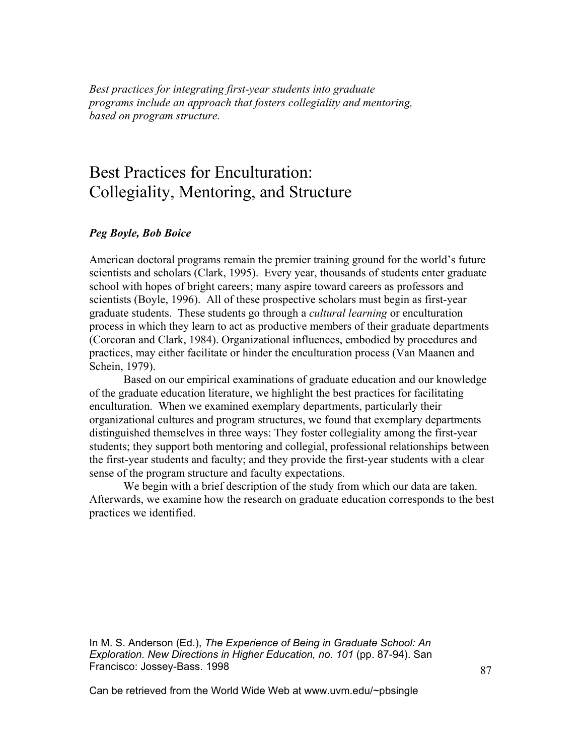*Best practices for integrating first-year students into graduate programs include an approach that fosters collegiality and mentoring, based on program structure.* 

# Best Practices for Enculturation: Collegiality, Mentoring, and Structure

### *Peg Boyle, Bob Boice*

American doctoral programs remain the premier training ground for the world's future scientists and scholars (Clark, 1995). Every year, thousands of students enter graduate school with hopes of bright careers; many aspire toward careers as professors and scientists (Boyle, 1996). All of these prospective scholars must begin as first-year graduate students. These students go through a *cultural learning* or enculturation process in which they learn to act as productive members of their graduate departments (Corcoran and Clark, 1984). Organizational influences, embodied by procedures and practices, may either facilitate or hinder the enculturation process (Van Maanen and Schein, 1979).

 Based on our empirical examinations of graduate education and our knowledge of the graduate education literature, we highlight the best practices for facilitating enculturation. When we examined exemplary departments, particularly their organizational cultures and program structures, we found that exemplary departments distinguished themselves in three ways: They foster collegiality among the first-year students; they support both mentoring and collegial, professional relationships between the first-year students and faculty; and they provide the first-year students with a clear sense of the program structure and faculty expectations.

We begin with a brief description of the study from which our data are taken. Afterwards, we examine how the research on graduate education corresponds to the best practices we identified.

In M. S. Anderson (Ed.), *The Experience of Being in Graduate School: An Exploration. New Directions in Higher Education, no. 101* (pp. 87-94). San Francisco: Jossey-Bass. 1998

Can be retrieved from the World Wide Web at www.uvm.edu/~pbsingle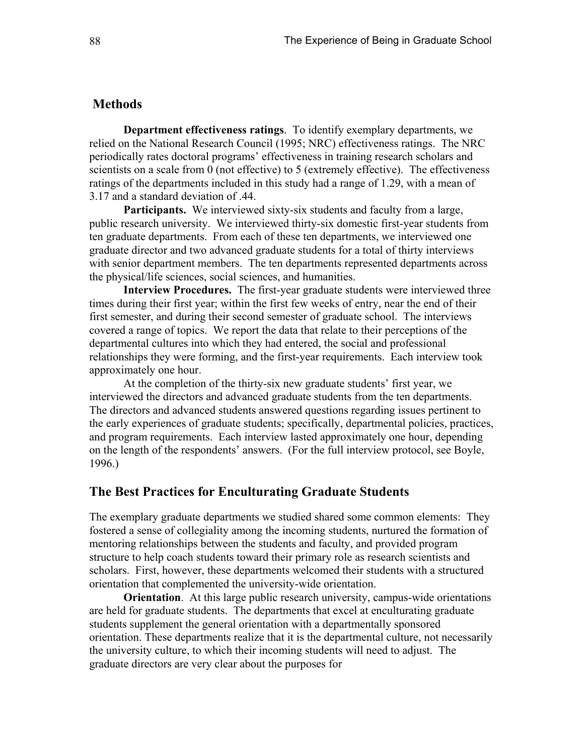### **Methods**

**Department effectiveness ratings**. To identify exemplary departments, we relied on the National Research Council (1995; NRC) effectiveness ratings. The NRC periodically rates doctoral programs' effectiveness in training research scholars and scientists on a scale from 0 (not effective) to 5 (extremely effective). The effectiveness ratings of the departments included in this study had a range of 1.29, with a mean of 3.17 and a standard deviation of .44.

**Participants.** We interviewed sixty-six students and faculty from a large, public research university. We interviewed thirty-six domestic first-year students from ten graduate departments. From each of these ten departments, we interviewed one graduate director and two advanced graduate students for a total of thirty interviews with senior department members. The ten departments represented departments across the physical/life sciences, social sciences, and humanities.

**Interview Procedures.** The first-year graduate students were interviewed three times during their first year; within the first few weeks of entry, near the end of their first semester, and during their second semester of graduate school. The interviews covered a range of topics. We report the data that relate to their perceptions of the departmental cultures into which they had entered, the social and professional relationships they were forming, and the first-year requirements. Each interview took approximately one hour.

 At the completion of the thirty-six new graduate students' first year, we interviewed the directors and advanced graduate students from the ten departments. The directors and advanced students answered questions regarding issues pertinent to the early experiences of graduate students; specifically, departmental policies, practices, and program requirements. Each interview lasted approximately one hour, depending on the length of the respondents' answers. (For the full interview protocol, see Boyle, 1996.)

#### **The Best Practices for Enculturating Graduate Students**

The exemplary graduate departments we studied shared some common elements: They fostered a sense of collegiality among the incoming students, nurtured the formation of mentoring relationships between the students and faculty, and provided program structure to help coach students toward their primary role as research scientists and scholars. First, however, these departments welcomed their students with a structured orientation that complemented the university-wide orientation.

**Orientation**. At this large public research university, campus-wide orientations are held for graduate students. The departments that excel at enculturating graduate students supplement the general orientation with a departmentally sponsored orientation. These departments realize that it is the departmental culture, not necessarily the university culture, to which their incoming students will need to adjust. The graduate directors are very clear about the purposes for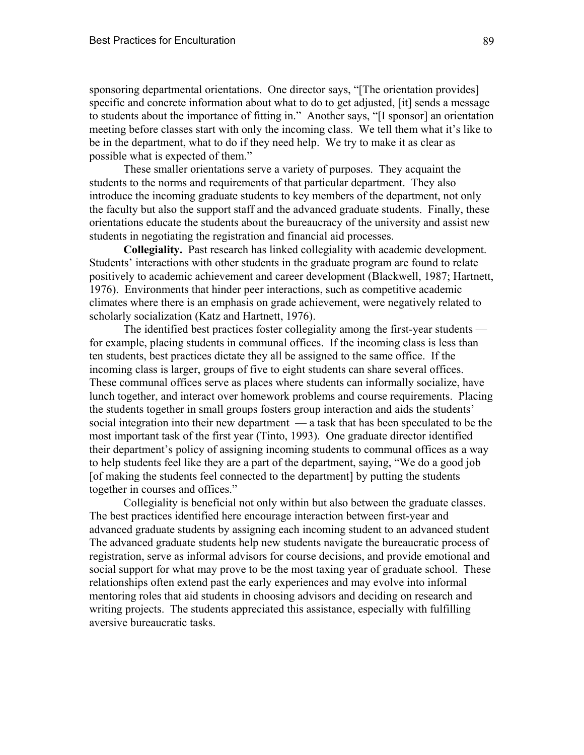sponsoring departmental orientations. One director says, "[The orientation provides] specific and concrete information about what to do to get adjusted, [it] sends a message to students about the importance of fitting in." Another says, "[I sponsor] an orientation meeting before classes start with only the incoming class. We tell them what it's like to be in the department, what to do if they need help. We try to make it as clear as possible what is expected of them."

These smaller orientations serve a variety of purposes. They acquaint the students to the norms and requirements of that particular department. They also introduce the incoming graduate students to key members of the department, not only the faculty but also the support staff and the advanced graduate students. Finally, these orientations educate the students about the bureaucracy of the university and assist new students in negotiating the registration and financial aid processes.

 **Collegiality.** Past research has linked collegiality with academic development. Students' interactions with other students in the graduate program are found to relate positively to academic achievement and career development (Blackwell, 1987; Hartnett, 1976). Environments that hinder peer interactions, such as competitive academic climates where there is an emphasis on grade achievement, were negatively related to scholarly socialization (Katz and Hartnett, 1976).

 The identified best practices foster collegiality among the first-year students for example, placing students in communal offices. If the incoming class is less than ten students, best practices dictate they all be assigned to the same office. If the incoming class is larger, groups of five to eight students can share several offices. These communal offices serve as places where students can informally socialize, have lunch together, and interact over homework problems and course requirements. Placing the students together in small groups fosters group interaction and aids the students' social integration into their new department — a task that has been speculated to be the most important task of the first year (Tinto, 1993). One graduate director identified their department's policy of assigning incoming students to communal offices as a way to help students feel like they are a part of the department, saying, "We do a good job [of making the students feel connected to the department] by putting the students together in courses and offices."

 Collegiality is beneficial not only within but also between the graduate classes. The best practices identified here encourage interaction between first-year and advanced graduate students by assigning each incoming student to an advanced student The advanced graduate students help new students navigate the bureaucratic process of registration, serve as informal advisors for course decisions, and provide emotional and social support for what may prove to be the most taxing year of graduate school. These relationships often extend past the early experiences and may evolve into informal mentoring roles that aid students in choosing advisors and deciding on research and writing projects. The students appreciated this assistance, especially with fulfilling aversive bureaucratic tasks.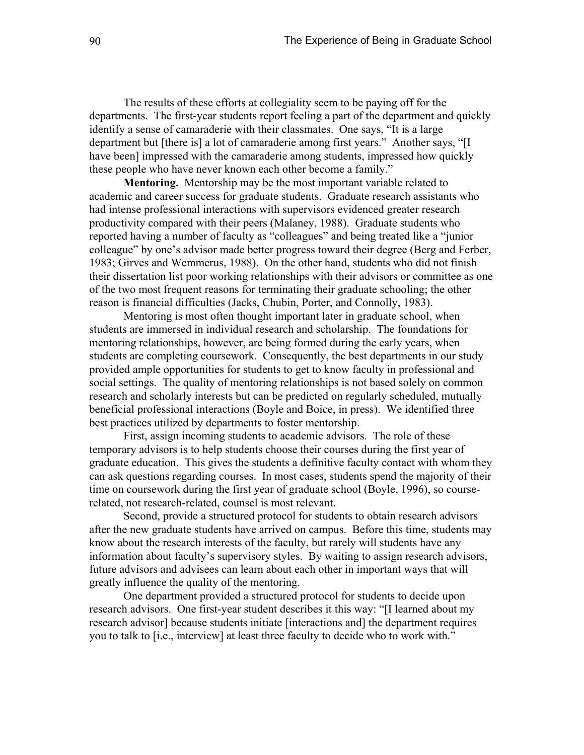The results of these efforts at collegiality seem to be paying off for the departments. The first-year students report feeling a part of the department and quickly identify a sense of camaraderie with their classmates. One says, "It is a large department but [there is] a lot of camaraderie among first years." Another says, "[I have been] impressed with the camaraderie among students, impressed how quickly these people who have never known each other become a family."

**Mentoring.** Mentorship may be the most important variable related to academic and career success for graduate students. Graduate research assistants who had intense professional interactions with supervisors evidenced greater research productivity compared with their peers (Malaney, 1988). Graduate students who reported having a number of faculty as "colleagues" and being treated like a "junior colleague" by one's advisor made better progress toward their degree (Berg and Ferber, 1983; Girves and Wemmerus, 1988). On the other hand, students who did not finish their dissertation list poor working relationships with their advisors or committee as one of the two most frequent reasons for terminating their graduate schooling; the other reason is financial difficulties (Jacks, Chubin, Porter, and Connolly, 1983).

 Mentoring is most often thought important later in graduate school, when students are immersed in individual research and scholarship. The foundations for mentoring relationships, however, are being formed during the early years, when students are completing coursework. Consequently, the best departments in our study provided ample opportunities for students to get to know faculty in professional and social settings. The quality of mentoring relationships is not based solely on common research and scholarly interests but can be predicted on regularly scheduled, mutually beneficial professional interactions (Boyle and Boice, in press). We identified three best practices utilized by departments to foster mentorship.

 First, assign incoming students to academic advisors. The role of these temporary advisors is to help students choose their courses during the first year of graduate education. This gives the students a definitive faculty contact with whom they can ask questions regarding courses. In most cases, students spend the majority of their time on coursework during the first year of graduate school (Boyle, 1996), so courserelated, not research-related, counsel is most relevant.

 Second, provide a structured protocol for students to obtain research advisors after the new graduate students have arrived on campus. Before this time, students may know about the research interests of the faculty, but rarely will students have any information about faculty's supervisory styles. By waiting to assign research advisors, future advisors and advisees can learn about each other in important ways that will greatly influence the quality of the mentoring.

One department provided a structured protocol for students to decide upon research advisors. One first-year student describes it this way: "[I learned about my research advisor] because students initiate [interactions and] the department requires you to talk to [i.e., interview] at least three faculty to decide who to work with."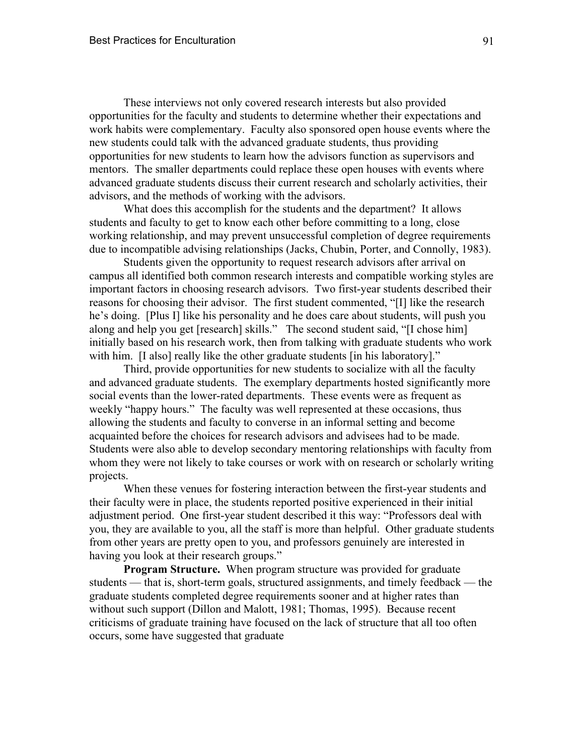These interviews not only covered research interests but also provided opportunities for the faculty and students to determine whether their expectations and work habits were complementary. Faculty also sponsored open house events where the new students could talk with the advanced graduate students, thus providing opportunities for new students to learn how the advisors function as supervisors and mentors. The smaller departments could replace these open houses with events where advanced graduate students discuss their current research and scholarly activities, their advisors, and the methods of working with the advisors.

What does this accomplish for the students and the department? It allows students and faculty to get to know each other before committing to a long, close working relationship, and may prevent unsuccessful completion of degree requirements due to incompatible advising relationships (Jacks, Chubin, Porter, and Connolly, 1983).

Students given the opportunity to request research advisors after arrival on campus all identified both common research interests and compatible working styles are important factors in choosing research advisors. Two first-year students described their reasons for choosing their advisor. The first student commented, "[I] like the research he's doing. [Plus I] like his personality and he does care about students, will push you along and help you get [research] skills." The second student said, "[I chose him] initially based on his research work, then from talking with graduate students who work with him. [I also] really like the other graduate students [in his laboratory]."

 Third, provide opportunities for new students to socialize with all the faculty and advanced graduate students. The exemplary departments hosted significantly more social events than the lower-rated departments. These events were as frequent as weekly "happy hours." The faculty was well represented at these occasions, thus allowing the students and faculty to converse in an informal setting and become acquainted before the choices for research advisors and advisees had to be made. Students were also able to develop secondary mentoring relationships with faculty from whom they were not likely to take courses or work with on research or scholarly writing projects.

 When these venues for fostering interaction between the first-year students and their faculty were in place, the students reported positive experienced in their initial adjustment period. One first-year student described it this way: "Professors deal with you, they are available to you, all the staff is more than helpful. Other graduate students from other years are pretty open to you, and professors genuinely are interested in having you look at their research groups."

**Program Structure.** When program structure was provided for graduate students — that is, short-term goals, structured assignments, and timely feedback — the graduate students completed degree requirements sooner and at higher rates than without such support (Dillon and Malott, 1981; Thomas, 1995). Because recent criticisms of graduate training have focused on the lack of structure that all too often occurs, some have suggested that graduate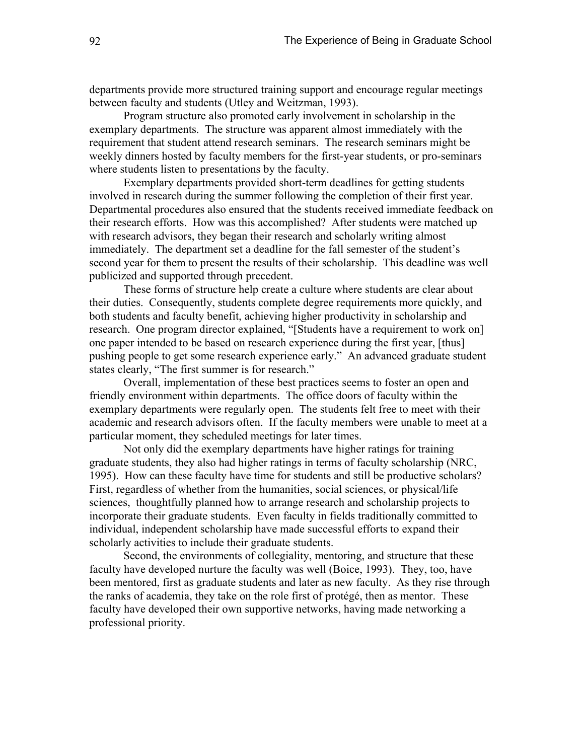departments provide more structured training support and encourage regular meetings between faculty and students (Utley and Weitzman, 1993).

 Program structure also promoted early involvement in scholarship in the exemplary departments. The structure was apparent almost immediately with the requirement that student attend research seminars. The research seminars might be weekly dinners hosted by faculty members for the first-year students, or pro-seminars where students listen to presentations by the faculty.

 Exemplary departments provided short-term deadlines for getting students involved in research during the summer following the completion of their first year. Departmental procedures also ensured that the students received immediate feedback on their research efforts. How was this accomplished? After students were matched up with research advisors, they began their research and scholarly writing almost immediately. The department set a deadline for the fall semester of the student's second year for them to present the results of their scholarship. This deadline was well publicized and supported through precedent.

These forms of structure help create a culture where students are clear about their duties. Consequently, students complete degree requirements more quickly, and both students and faculty benefit, achieving higher productivity in scholarship and research. One program director explained, "[Students have a requirement to work on] one paper intended to be based on research experience during the first year, [thus] pushing people to get some research experience early." An advanced graduate student states clearly, "The first summer is for research."

 Overall, implementation of these best practices seems to foster an open and friendly environment within departments. The office doors of faculty within the exemplary departments were regularly open. The students felt free to meet with their academic and research advisors often. If the faculty members were unable to meet at a particular moment, they scheduled meetings for later times.

 Not only did the exemplary departments have higher ratings for training graduate students, they also had higher ratings in terms of faculty scholarship (NRC, 1995). How can these faculty have time for students and still be productive scholars? First, regardless of whether from the humanities, social sciences, or physical/life sciences, thoughtfully planned how to arrange research and scholarship projects to incorporate their graduate students. Even faculty in fields traditionally committed to individual, independent scholarship have made successful efforts to expand their scholarly activities to include their graduate students.

 Second, the environments of collegiality, mentoring, and structure that these faculty have developed nurture the faculty was well (Boice, 1993). They, too, have been mentored, first as graduate students and later as new faculty. As they rise through the ranks of academia, they take on the role first of protégé, then as mentor. These faculty have developed their own supportive networks, having made networking a professional priority.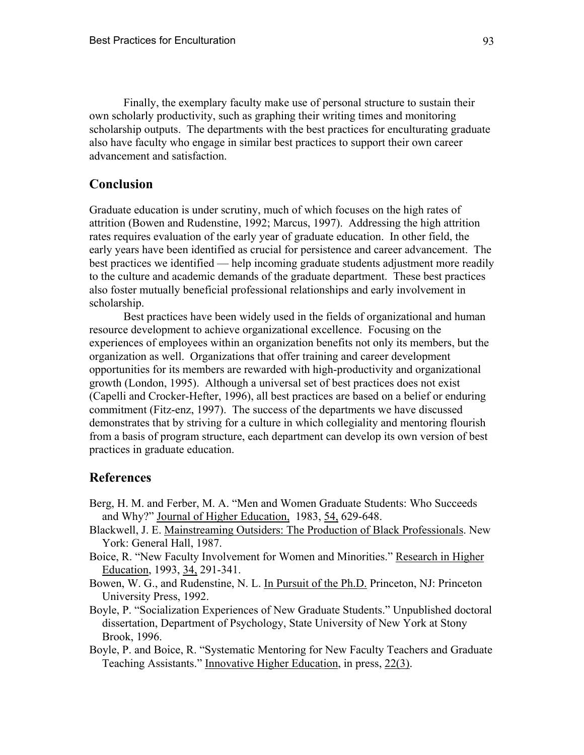Finally, the exemplary faculty make use of personal structure to sustain their own scholarly productivity, such as graphing their writing times and monitoring scholarship outputs. The departments with the best practices for enculturating graduate also have faculty who engage in similar best practices to support their own career advancement and satisfaction.

## **Conclusion**

Graduate education is under scrutiny, much of which focuses on the high rates of attrition (Bowen and Rudenstine, 1992; Marcus, 1997). Addressing the high attrition rates requires evaluation of the early year of graduate education. In other field, the early years have been identified as crucial for persistence and career advancement. The best practices we identified — help incoming graduate students adjustment more readily to the culture and academic demands of the graduate department. These best practices also foster mutually beneficial professional relationships and early involvement in scholarship.

 Best practices have been widely used in the fields of organizational and human resource development to achieve organizational excellence. Focusing on the experiences of employees within an organization benefits not only its members, but the organization as well. Organizations that offer training and career development opportunities for its members are rewarded with high-productivity and organizational growth (London, 1995). Although a universal set of best practices does not exist (Capelli and Crocker-Hefter, 1996), all best practices are based on a belief or enduring commitment (Fitz-enz, 1997). The success of the departments we have discussed demonstrates that by striving for a culture in which collegiality and mentoring flourish from a basis of program structure, each department can develop its own version of best practices in graduate education.

#### **References**

- Berg, H. M. and Ferber, M. A. "Men and Women Graduate Students: Who Succeeds and Why?" Journal of Higher Education, 1983, 54, 629-648.
- Blackwell, J. E. Mainstreaming Outsiders: The Production of Black Professionals. New York: General Hall, 1987.
- Boice, R. "New Faculty Involvement for Women and Minorities." Research in Higher Education, 1993, 34, 291-341.
- Bowen, W. G., and Rudenstine, N. L. In Pursuit of the Ph.D. Princeton, NJ: Princeton University Press, 1992.
- Boyle, P. "Socialization Experiences of New Graduate Students." Unpublished doctoral dissertation, Department of Psychology, State University of New York at Stony Brook, 1996.
- Boyle, P. and Boice, R. "Systematic Mentoring for New Faculty Teachers and Graduate Teaching Assistants." Innovative Higher Education, in press, 22(3).